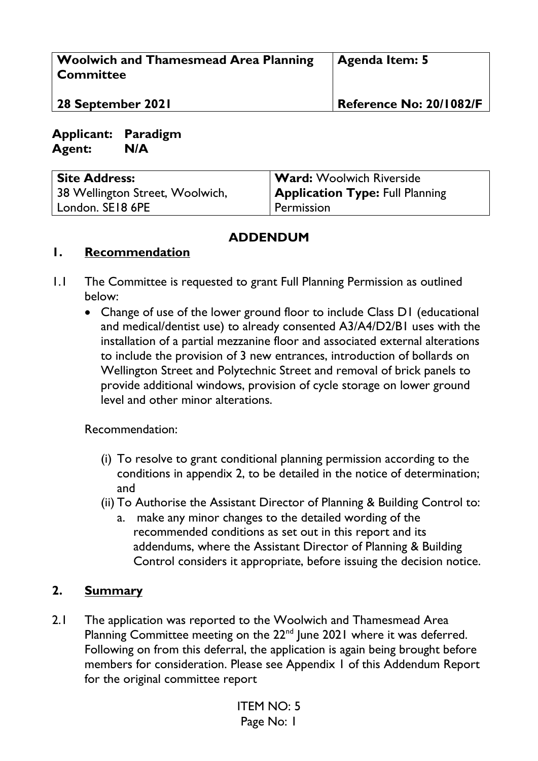| Woolwich and Thamesmead Area Planning<br><b>Committee</b> | <b>Agenda Item: 5</b>          |
|-----------------------------------------------------------|--------------------------------|
| 28 September 2021                                         | <b>Reference No: 20/1082/F</b> |

**Applicant: Paradigm Agent: N/A**

| <b>Site Address:</b>            | <b>Ward:</b> Woolwich Riverside        |
|---------------------------------|----------------------------------------|
| 38 Wellington Street, Woolwich, | <b>Application Type: Full Planning</b> |
| London. SE18 6PE                | Permission                             |

## **ADDENDUM**

## **1. Recommendation**

- 1.1 The Committee is requested to grant Full Planning Permission as outlined below:
	- Change of use of the lower ground floor to include Class D1 (educational and medical/dentist use) to already consented A3/A4/D2/B1 uses with the installation of a partial mezzanine floor and associated external alterations to include the provision of 3 new entrances, introduction of bollards on Wellington Street and Polytechnic Street and removal of brick panels to provide additional windows, provision of cycle storage on lower ground level and other minor alterations.

Recommendation:

- (i) To resolve to grant conditional planning permission according to the conditions in appendix 2, to be detailed in the notice of determination; and
- (ii) To Authorise the Assistant Director of Planning & Building Control to:
	- a. make any minor changes to the detailed wording of the recommended conditions as set out in this report and its addendums, where the Assistant Director of Planning & Building Control considers it appropriate, before issuing the decision notice.

## **2. Summary**

2.1 The application was reported to the Woolwich and Thamesmead Area Planning Committee meeting on the  $22<sup>nd</sup>$  June 2021 where it was deferred. Following on from this deferral, the application is again being brought before members for consideration. Please see Appendix 1 of this Addendum Report for the original committee report

> ITEM NO: 5 Page No: 1